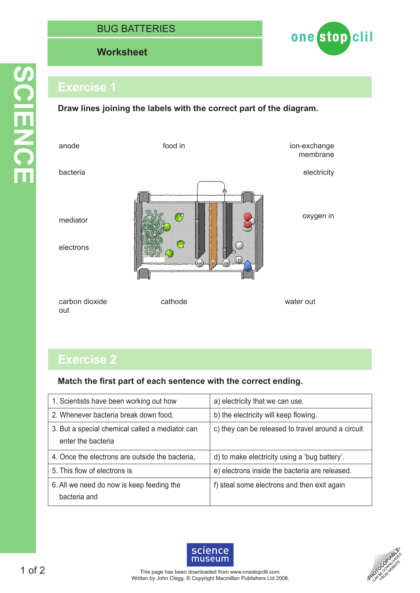## BUG BATTI

### **Worksheet Worksheet**



## **Exercise 1**

**Draw lines joining the labels with the correct part of the diagram.**



# **Exercise 2**

#### **Match the first part of each sentence with the correct ending.**

| 1. Scientists have been working out how                               | a) electricity that we can use.                    |
|-----------------------------------------------------------------------|----------------------------------------------------|
| 2. Whenever bacteria break down food,                                 | b) the electricity will keep flowing.              |
| 3. But a special chemical called a mediator can<br>enter the bacteria | c) they can be released to travel around a circuit |
| 4. Once the electrons are outside the bacteria,                       | d) to make electricity using a 'bug battery'.      |
| 5. This flow of electrons is                                          | e) electrons inside the bacteria are released.     |
| 6. All we need do now is keep feeding the<br>bacteria and             | f) steal some electrons and then exit again        |
|                                                                       |                                                    |



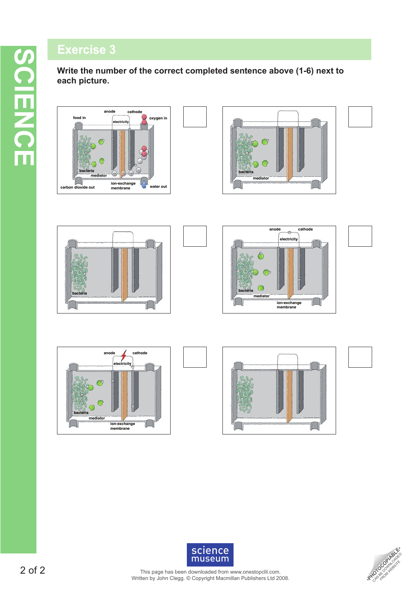## **Exercise 3**

**Write the number of the correct completed sentence above (1-6) next to each picture.**















2 of 2

This page has been downloaded from www.onestopclil.com. **SCIENCE**<br>This page has been downloaded from www.onestopclil.com.<br>Written by John Clegg. © Copyright Macmillan Publishers Ltd 2008.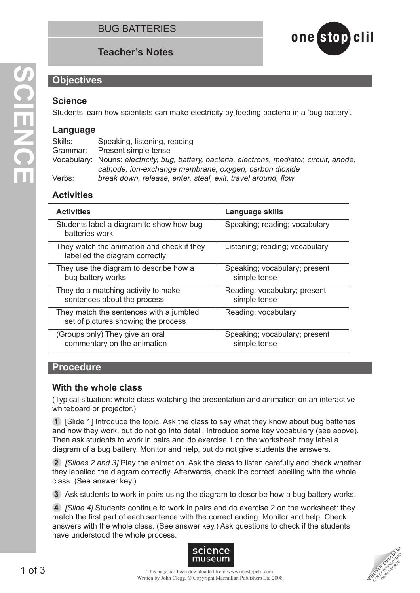## **Teacher's Notes**



#### **Objectives**

#### **Science**

Students learn how scientists can make electricity by feeding bacteria in a 'bug battery'.

#### **Language**

Skills: Speaking, listening, reading Grammar: Present simple tense Vocabulary: Nouns: *electricity, bug, battery, bacteria, electrons, mediator, circuit, anode, cathode, ion-exchange membrane, oxygen, carbon dioxide* Verbs: *break down, release, enter, steal, exit, travel around, flow*

## **Activities**

| <b>Activities</b>                                                              | Language skills                               |
|--------------------------------------------------------------------------------|-----------------------------------------------|
| Students label a diagram to show how bug<br>batteries work                     | Speaking; reading; vocabulary                 |
| They watch the animation and check if they<br>labelled the diagram correctly   | Listening; reading; vocabulary                |
| They use the diagram to describe how a<br>bug battery works                    | Speaking; vocabulary; present<br>simple tense |
| They do a matching activity to make<br>sentences about the process             | Reading; vocabulary; present<br>simple tense  |
| They match the sentences with a jumbled<br>set of pictures showing the process | Reading; vocabulary                           |
| (Groups only) They give an oral<br>commentary on the animation                 | Speaking; vocabulary; present<br>simple tense |

#### **Procedure**

#### **With the whole class**

(Typical situation: whole class watching the presentation and animation on an interactive whiteboard or projector.)

**1** [Slide 1] Introduce the topic. Ask the class to say what they know about bug batteries and how they work, but do not go into detail. Introduce some key vocabulary (see above). Then ask students to work in pairs and do exercise 1 on the worksheet: they label a diagram of a bug battery. Monitor and help, but do not give students the answers.

**2** *[Slides 2 and 3]* Play the animation. Ask the class to listen carefully and check whether they labelled the diagram correctly. Afterwards, check the correct labelling with the whole class. (See answer key.)

**3** Ask students to work in pairs using the diagram to describe how a bug battery works.

**4** *[Slide 4]* Students continue to work in pairs and do exercise 2 on the worksheet: they match the first part of each sentence with the correct ending. Monitor and help. Check answers with the whole class. (See answer key.) Ask questions to check if the students have understood the whole process.



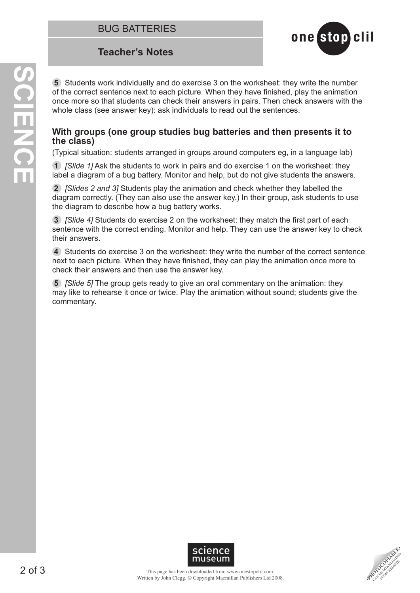

**5** Students work individually and do exercise 3 on the worksheet: they write the number of the correct sentence next to each picture. When they have finished, play the animation once more so that students can check their answers in pairs. Then check answers with the whole class (see answer key): ask individuals to read out the sentences.

#### **With groups (one group studies bug batteries and then presents it to the class)**

(Typical situation: students arranged in groups around computers eg, in a language lab)

**1** *[Slide 1]* Ask the students to work in pairs and do exercise 1 on the worksheet: they label a diagram of a bug battery. Monitor and help, but do not give students the answers.

**2** *[Slides 2 and 3]* Students play the animation and check whether they labelled the diagram correctly. (They can also use the answer key.) In their group, ask students to use the diagram to describe how a bug battery works.

**3** *[Slide 4]* Students do exercise 2 on the worksheet: they match the first part of each sentence with the correct ending. Monitor and help. They can use the answer key to check their answers.

**4** Students do exercise 3 on the worksheet: they write the number of the correct sentence next to each picture. When they have finished, they can play the animation once more to check their answers and then use the answer key.

**5** *[Slide 5]* The group gets ready to give an oral commentary on the animation: they may like to rehearse it once or twice. Play the animation without sound; students give the commentary.